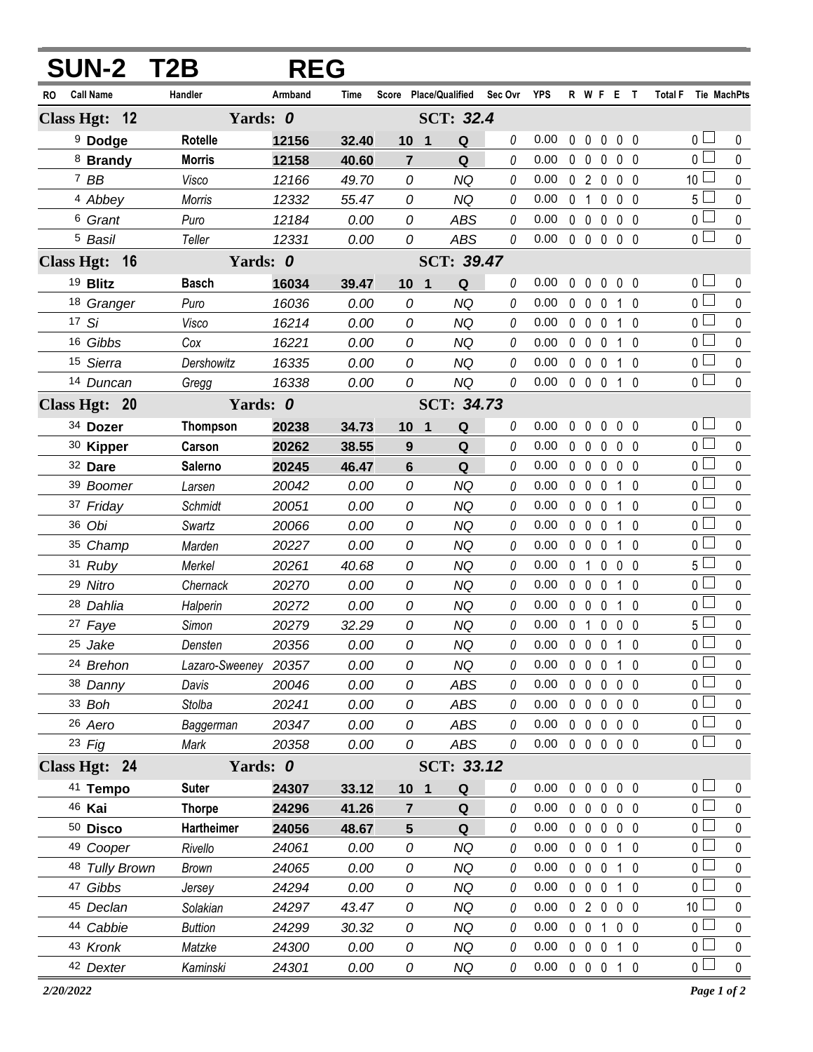|                               | <b>SUN-2 T2B</b> | <b>REG</b>              |       |                 |                       |          |            |              |                   |              |                |                |                 |             |
|-------------------------------|------------------|-------------------------|-------|-----------------|-----------------------|----------|------------|--------------|-------------------|--------------|----------------|----------------|-----------------|-------------|
| <b>Call Name</b><br><b>RO</b> | Handler          | Armband                 | Time  |                 | Score Place/Qualified | Sec Ovr  | <b>YPS</b> |              |                   | R W F E T    |                |                | <b>Total F</b>  | Tie MachPts |
| Class Hgt: 12                 |                  | Yards: 0                |       |                 | <b>SCT: 32.4</b>      |          |            |              |                   |              |                |                |                 |             |
| <sup>9</sup> Dodge            | <b>Rotelle</b>   | 12156                   | 32.40 | 10 <sub>1</sub> | Q                     | 0        | 0.00       | 0            | $\mathbf 0$       | 0            | 0 <sub>0</sub> |                | 0 <sup>1</sup>  | 0           |
| 8 Brandy                      | <b>Morris</b>    | 12158                   | 40.60 | $\overline{7}$  | Q                     | 0        | 0.00       | $\mathbf{0}$ | $\mathbf 0$       | $\mathbf{0}$ | $0\quad 0$     |                | 0 <sup>1</sup>  | 0           |
| $7$ BB                        | Visco            | 12166                   | 49.70 | 0               | <b>NQ</b>             | 0        | 0.00       | $\mathbf{0}$ | $\overline{2}$    | 0            | $\mathbf 0$    | - 0            | 10 <sup>1</sup> | $\mathbf 0$ |
| 4 Abbey                       | Morris           | 12332                   | 55.47 | 0               | <b>NQ</b>             | 0        | 0.00       | $\Omega$     | 1                 | $\mathbf{0}$ | 0 <sub>0</sub> |                | 5 <sup>1</sup>  | 0           |
| <sup>6</sup> Grant            | Puro             | 12184                   | 0.00  | 0               | <b>ABS</b>            | 0        | 0.00       | $\mathbf 0$  | $\mathbf 0$       | $\mathbf{0}$ | $0\quad 0$     |                | 0 <sub>0</sub>  | $\mathbf 0$ |
| <sup>5</sup> Basil            | Teller           | 12331                   | 0.00  | 0               | <b>ABS</b>            | 0        | 0.00       |              | $0\quad 0\quad 0$ |              | $0\quad 0$     |                | 0 <sub>0</sub>  | $\mathbf 0$ |
| Class Hgt: 16                 |                  | Yards: 0                |       |                 | <b>SCT: 39.47</b>     |          |            |              |                   |              |                |                |                 |             |
| 19 Blitz                      | <b>Basch</b>     | 16034                   | 39.47 | 10 <sub>1</sub> | Q                     | 0        | 0.00       | $\mathbf 0$  | $\mathbf 0$       | $\mathbf 0$  | 0 <sub>0</sub> |                | 0 <sup>1</sup>  | 0           |
| 18 Granger                    | Puro             | 16036                   | 0.00  | 0               | <b>NQ</b>             | 0        | 0.00       | $\mathbf 0$  | $\mathbf 0$       | 0            | 1 0            |                | 0 <sup>1</sup>  | 0           |
| 17 Si                         | Visco            | 16214                   | 0.00  | 0               | <b>NQ</b>             | $\theta$ | 0.00       | $\mathbf 0$  | $\mathbf 0$       | 0            | $1\quad0$      |                | 0 <sub>0</sub>  | $\mathbf 0$ |
| 16 Gibbs                      | Cox              | 16221                   | 0.00  | 0               | <b>NQ</b>             | 0        | 0.00       | $\mathbf{0}$ | $\mathbf 0$       | $\mathbf{0}$ | $1\quad0$      |                | 0 <sup>1</sup>  | $\mathbf 0$ |
| 15 Sierra                     | Dershowitz       | 16335                   | 0.00  | 0               | <b>NQ</b>             | 0        | 0.00       | $\mathbf 0$  | $\mathbf 0$       | $\mathbf{0}$ | $1\quad0$      |                | $0-$            | $\mathbf 0$ |
| 14 Duncan                     | Gregg            | 16338                   | 0.00  | 0               | <b>NQ</b>             | 0        | 0.00       | $\mathbf 0$  | $0\quad 0$        |              | 10             |                | $\overline{0}$  | $\mathbf 0$ |
| Class Hgt: 20                 |                  | Yards: 0                |       |                 | <b>SCT: 34.73</b>     |          |            |              |                   |              |                |                |                 |             |
| 34 Dozer                      | <b>Thompson</b>  | 20238                   | 34.73 | 10              | Q<br>$\overline{1}$   | 0        | 0.00       | $\mathbf 0$  | $\mathbf 0$       | 0            | 0 <sub>0</sub> |                | 0 l             | 0           |
| 30 Kipper                     | Carson           | 20262                   | 38.55 | 9               | Q                     | 0        | 0.00       | 0            | $\mathbf{0}$      | $\mathbf{0}$ | $\mathbf{0}$   | - 0            | 0 L             | 0           |
| 32 Dare                       | Salerno          | 20245                   | 46.47 | 6               | Q                     | 0        | 0.00       | $\mathbf 0$  | $\mathbf 0$       | 0            | $\mathbf 0$    | - 0            | 0 l             | $\mathbf 0$ |
| 39 Boomer                     | Larsen           | 20042                   | 0.00  | 0               | <b>NQ</b>             | 0        | 0.00       |              | $0\quad 0$        | $\mathbf{0}$ | $1\quad0$      |                | 0 <sub>1</sub>  | $\mathbf 0$ |
| 37 Friday                     | Schmidt          | 20051                   | 0.00  | 0               | <b>NQ</b>             | 0        | 0.00       | $\mathbf 0$  | $\mathbf 0$       | 0            | $1\quad0$      |                | 0 l             | $\mathbf 0$ |
| 36 Obi                        | Swartz           | 20066                   | 0.00  | 0               | <b>NQ</b>             | 0        | 0.00       | $\mathbf 0$  | $\mathbf 0$       | 0            | 1 0            |                | 0 l             | $\mathbf 0$ |
| 35 Champ                      | Marden           | 20227                   | 0.00  | 0               | <b>NQ</b>             | 0        | 0.00       | $\mathbf 0$  | $\mathbf 0$       | $\mathbf{0}$ | 1              | $\overline{0}$ | 0               | $\mathbf 0$ |
| 31 Ruby                       | Merkel           | 20261                   | 40.68 | 0               | <b>NQ</b>             | 0        | 0.00       | $\mathbf{0}$ | 1                 | $\mathbf{0}$ | $\mathbf{0}$   | - 0            | ا 5             | $\mathbf 0$ |
| 29 Nitro                      | Chernack         | 20270                   | 0.00  | 0               | <b>NQ</b>             | 0        | 0.00       | $\mathbf 0$  | $\mathbf 0$       | $\mathbf 0$  | $1\quad0$      |                | 0 l             | $\mathbf 0$ |
| 28 Dahlia                     | Halperin         | 20272                   | 0.00  | 0               | <b>NQ</b>             | 0        | 0.00       | $\mathbf 0$  | $\mathbf 0$       | $\mathbf{0}$ | $1\quad0$      |                | $\mathbf 0$     | $\mathbf 0$ |
| 27 Faye                       | Simon            | 20279                   | 32.29 | 0               | <b>NQ</b>             | 0        | 0.00       |              | 0 <sub>1</sub>    | 0            | 0 <sub>0</sub> |                | ا 5             | $\mathbf 0$ |
| 25 Jake                       | Densten          | 20356                   | 0.00  | 0               | <b>NQ</b>             | 0        | 0.00       |              |                   | 0 0 0 1 0    |                |                | $\overline{0}$  | $\mathbf 0$ |
| 24 Brehon                     |                  | 20357<br>Lazaro-Sweeney | 0.00  | 0               | <b>NQ</b>             | 0        | 0.00       | $\mathbf 0$  | $0\quad 0$        |              | $1\quad0$      |                | 0 l             | 0           |
| 38 Danny                      | Davis            | 20046                   | 0.00  | 0               | <b>ABS</b>            | 0        | 0.00       |              | $0\quad 0$        | $\mathbf 0$  | $0\quad 0$     |                | 0 <sub>1</sub>  | 0           |
| 33 Boh                        | Stolba           | 20241                   | 0.00  | 0               | ABS                   | 0        | 0.00       | $\mathbf 0$  | $\mathbf 0$       | 0            | 0 <sub>0</sub> |                | $0\perp$        | 0           |
| 26 Aero                       | Baggerman        | 20347                   | 0.00  | 0               | ABS                   | 0        | 0.00       | $\mathbf 0$  | $\mathbf 0$       | $\mathbf 0$  | $0\quad 0$     |                | 0 <sub>l</sub>  | 0           |
| 23 Fig                        | Mark             | 20358                   | 0.00  | 0               | ABS                   | 0        | 0.00       |              | $0\quad 0\quad 0$ |              | 0 <sub>0</sub> |                | 0 <sub>0</sub>  | 0           |
| Class Hgt: 24                 |                  | Yards: 0                |       |                 | SCT: 33.12            |          |            |              |                   |              |                |                |                 |             |
| 41 Tempo                      | <b>Suter</b>     | 24307                   | 33.12 | 10 <sub>1</sub> | Q                     | 0        | 0.00       | 0            | $\mathbf 0$       | $\mathbf 0$  | 0 <sub>0</sub> |                | 0 <sub>0</sub>  | 0           |
| 46 Kai                        | <b>Thorpe</b>    | 24296                   | 41.26 | $\overline{7}$  | Q                     | 0        | 0.00       |              | $0\quad 0\quad 0$ |              | 0 <sub>0</sub> |                | 0 <sup>1</sup>  | 0           |
| 50 Disco                      | Hartheimer       | 24056                   | 48.67 | 5               | Q                     | 0        | 0.00       |              | $0\quad 0$        | $\mathbf 0$  | 0 <sub>0</sub> |                | 0 <sub>1</sub>  | $\mathbf 0$ |
| <sup>49</sup> Cooper          | Rivello          | 24061                   | 0.00  | 0               | <b>NQ</b>             | 0        | 0.00       | $\mathbf{0}$ | $\mathbf 0$       | $\mathbf 0$  | $1\quad0$      |                | 0 <sup>2</sup>  | 0           |
| 48 Tully Brown                | <b>Brown</b>     | 24065                   | 0.00  | 0               | <b>NQ</b>             | 0        | 0.00       | $\mathbf 0$  | $\mathbf 0$       | $\mathbf 0$  | $1\quad0$      |                | $\overline{0}$  | 0           |
| 47 Gibbs                      | Jersey           | 24294                   | 0.00  | 0               | <b>NQ</b>             | 0        | 0.00       | $\mathbf{0}$ | $\mathbf 0$       | $\mathbf 0$  | $1\quad0$      |                | 0 l             | 0           |
| 45 Declan                     | Solakian         | 24297                   | 43.47 | 0               | NQ                    | 0        | 0.00       |              | 020               |              | $0\quad 0$     |                | 10 <sup>1</sup> | 0           |
| 44 Cabbie                     | <b>Buttion</b>   | 24299                   | 30.32 | 0               | <b>NQ</b>             | 0        | 0.00       | $\mathbf 0$  | $\mathbf 0$       | 1            | $0\quad 0$     |                | 0 l             | 0           |
| 43 Kronk                      | Matzke           | 24300                   | 0.00  | 0               | NQ                    | 0        | 0.00       | $\mathbf 0$  | $\mathbf 0$       | $\mathbf 0$  | $1\quad0$      |                | 0 <sub>0</sub>  | 0           |
| 42 Dexter                     | Kaminski         | 24301                   | 0.00  | 0               | NQ                    | 0        | 0.00       |              |                   | 0 0 0 1 0    |                |                | 0 <sub>0</sub>  | $\pmb{0}$   |